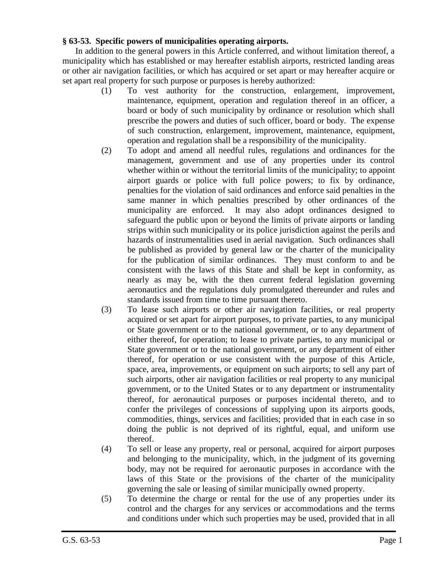## **§ 63-53. Specific powers of municipalities operating airports.**

In addition to the general powers in this Article conferred, and without limitation thereof, a municipality which has established or may hereafter establish airports, restricted landing areas or other air navigation facilities, or which has acquired or set apart or may hereafter acquire or set apart real property for such purpose or purposes is hereby authorized:

- (1) To vest authority for the construction, enlargement, improvement, maintenance, equipment, operation and regulation thereof in an officer, a board or body of such municipality by ordinance or resolution which shall prescribe the powers and duties of such officer, board or body. The expense of such construction, enlargement, improvement, maintenance, equipment, operation and regulation shall be a responsibility of the municipality.
- (2) To adopt and amend all needful rules, regulations and ordinances for the management, government and use of any properties under its control whether within or without the territorial limits of the municipality; to appoint airport guards or police with full police powers; to fix by ordinance, penalties for the violation of said ordinances and enforce said penalties in the same manner in which penalties prescribed by other ordinances of the municipality are enforced. It may also adopt ordinances designed to safeguard the public upon or beyond the limits of private airports or landing strips within such municipality or its police jurisdiction against the perils and hazards of instrumentalities used in aerial navigation. Such ordinances shall be published as provided by general law or the charter of the municipality for the publication of similar ordinances. They must conform to and be consistent with the laws of this State and shall be kept in conformity, as nearly as may be, with the then current federal legislation governing aeronautics and the regulations duly promulgated thereunder and rules and standards issued from time to time pursuant thereto.
- (3) To lease such airports or other air navigation facilities, or real property acquired or set apart for airport purposes, to private parties, to any municipal or State government or to the national government, or to any department of either thereof, for operation; to lease to private parties, to any municipal or State government or to the national government, or any department of either thereof, for operation or use consistent with the purpose of this Article, space, area, improvements, or equipment on such airports; to sell any part of such airports, other air navigation facilities or real property to any municipal government, or to the United States or to any department or instrumentality thereof, for aeronautical purposes or purposes incidental thereto, and to confer the privileges of concessions of supplying upon its airports goods, commodities, things, services and facilities; provided that in each case in so doing the public is not deprived of its rightful, equal, and uniform use thereof.
- (4) To sell or lease any property, real or personal, acquired for airport purposes and belonging to the municipality, which, in the judgment of its governing body, may not be required for aeronautic purposes in accordance with the laws of this State or the provisions of the charter of the municipality governing the sale or leasing of similar municipally owned property.
- (5) To determine the charge or rental for the use of any properties under its control and the charges for any services or accommodations and the terms and conditions under which such properties may be used, provided that in all